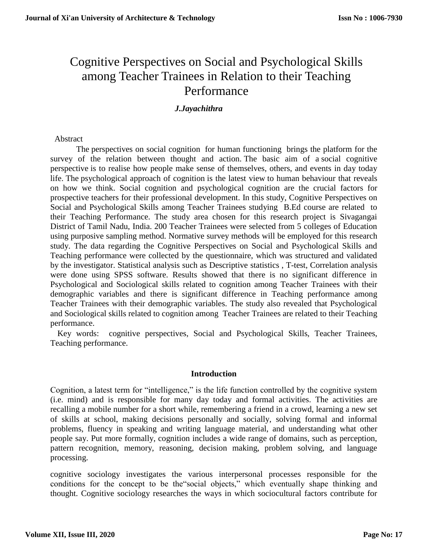# Cognitive Perspectives on Social and Psychological Skills among Teacher Trainees in Relation to their Teaching Performance

### *J.Jayachithra*

#### Abstract

 The perspectives on [social cognition](https://www.sciencedirect.com/topics/psychology/social-cognitive-perspective) for human functioning brings the platform for the survey of the relation between thought and action. The basic aim of a [social cognitive](https://www.sciencedirect.com/topics/social-sciences/social-cognitive-perspective)  [perspective](https://www.sciencedirect.com/topics/social-sciences/social-cognitive-perspective) is to realise how people make sense of themselves, others, and events in day today life. The psychological approach of cognition is the latest view to human behaviour that reveals on how we think. Social cognition and psychological cognition are the crucial factors for prospective teachers for their professional development. In this study, Cognitive Perspectives on Social and Psychological Skills among Teacher Trainees studying B.Ed course are related to their Teaching Performance. The study area chosen for this research project is Sivagangai District of Tamil Nadu, India. 200 Teacher Trainees were selected from 5 colleges of Education using purposive sampling method. Normative survey methods will be employed for this research study. The data regarding the Cognitive Perspectives on Social and Psychological Skills and Teaching performance were collected by the questionnaire, which was structured and validated by the investigator. Statistical analysis such as Descriptive statistics , T-test, Correlation analysis were done using SPSS software. Results showed that there is no significant difference in Psychological and Sociological skills related to cognition among Teacher Trainees with their demographic variables and there is significant difference in Teaching performance among Teacher Trainees with their demographic variables. The study also revealed that Psychological and Sociological skills related to cognition among Teacher Trainees are related to their Teaching performance.

Key words: [cognitive perspectives](https://www.sciencedirect.com/topics/social-sciences/social-cognitive-perspective), Social and Psychological Skills, Teacher Trainees, Teaching performance.

#### **Introduction**

Cognition, a latest term for "intelligence," is the life function controlled by the cognitive system (i.e. mind) and is responsible for many day today and formal activities. The activities are recalling a mobile number for a short while, remembering a friend in a crowd, learning a new set of skills at school, making decisions personally and socially, solving formal and informal problems, fluency in speaking and writing language material, and understanding what other people say. Put more formally, cognition includes a wide range of domains, such as perception, pattern recognition, memory, reasoning, decision making, problem solving, and language processing.

cognitive sociology investigates the various interpersonal processes responsible for the conditions for the concept to be the"social objects," which eventually shape thinking and thought. Cognitive sociology researches the ways in which sociocultural factors contribute for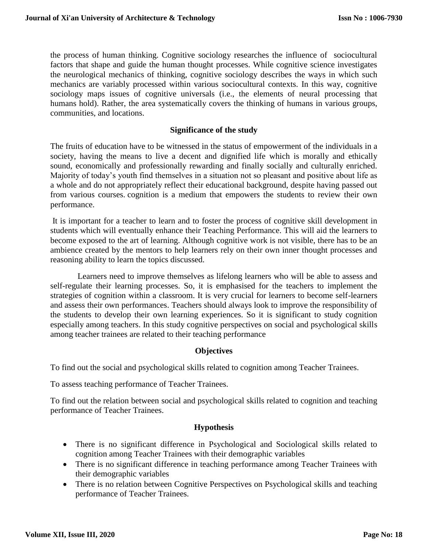the process of human thinking. Cognitive sociology researches the influence of sociocultural factors that shape and guide the human thought processes. While cognitive science investigates the neurological mechanics of thinking, cognitive sociology describes the ways in which such mechanics are variably processed within various sociocultural contexts. In this way, cognitive sociology maps issues of cognitive universals (i.e., the elements of neural processing that humans hold). Rather, the area systematically covers the thinking of humans in various groups, communities, and locations.

# **Significance of the study**

The fruits of education have to be witnessed in the status of empowerment of the individuals in a society, having the means to live a decent and dignified life which is morally and ethically sound, economically and professionally rewarding and finally socially and culturally enriched. Majority of today's youth find themselves in a situation not so pleasant and positive about life as a whole and do not appropriately reflect their educational background, despite having passed out from various courses. cognition is a medium that empowers the students to review their own performance.

It is important for a teacher to learn and to foster the process of cognitive skill development in students which will eventually enhance their Teaching Performance. This will aid the learners to become exposed to the art of learning. Although cognitive work is not visible, there has to be an ambience created by the mentors to help learners rely on their own inner thought processes and reasoning ability to learn the topics discussed.

 Learners need to improve themselves as lifelong learners who will be able to assess and self-regulate their learning processes. So, it is emphasised for the teachers to implement the strategies of cognition within a classroom. It is very crucial for learners to become self-learners and assess their own performances. Teachers should always look to improve the responsibility of the students to develop their own learning experiences. So it is significant to study cognition especially among teachers. In this study cognitive perspectives on social and psychological skills among teacher trainees are related to their teaching performance

# **Objectives**

To find out the social and psychological skills related to cognition among Teacher Trainees.

To assess teaching performance of Teacher Trainees.

To find out the relation between social and psychological skills related to cognition and teaching performance of Teacher Trainees.

# **Hypothesis**

- There is no significant difference in Psychological and Sociological skills related to cognition among Teacher Trainees with their demographic variables
- There is no significant difference in teaching performance among Teacher Trainees with their demographic variables
- There is no relation between Cognitive Perspectives on Psychological skills and teaching performance of Teacher Trainees.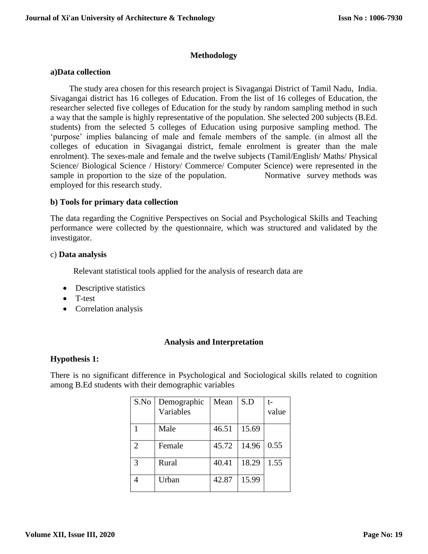# **Methodology**

### **a)Data collection**

 The study area chosen for this research project is Sivagangai District of Tamil Nadu, India. Sivagangai district has 16 colleges of Education. From the list of 16 colleges of Education, the researcher selected five colleges of Education for the study by random sampling method in such a way that the sample is highly representative of the population. She selected 200 subjects (B.Ed. students) from the selected 5 colleges of Education using purposive sampling method. The 'purpose' implies balancing of male and female members of the sample. (in almost all the colleges of education in Sivagangai district, female enrolment is greater than the male enrolment). The sexes-male and female and the twelve subjects (Tamil/English/ Maths/ Physical Science/ Biological Science / History/ Commerce/ Computer Science) were represented in the sample in proportion to the size of the population. Normative survey methods was employed for this research study.

# **b) Tools for primary data collection**

The data regarding the Cognitive Perspectives on Social and Psychological Skills and Teaching performance were collected by the questionnaire, which was structured and validated by the investigator.

### c) **Data analysis**

Relevant statistical tools applied for the analysis of research data are

- Descriptive statistics
- T-test
- Correlation analysis

# **Analysis and Interpretation**

# **Hypothesis 1:**

There is no significant difference in Psychological and Sociological skills related to cognition among B.Ed students with their demographic variables

| S.No           | Demographic | Mean  | S.D   | t-    |
|----------------|-------------|-------|-------|-------|
|                | Variables   |       |       | value |
|                | Male        | 46.51 | 15.69 |       |
| $\mathfrak{D}$ | Female      | 45.72 | 14.96 | 0.55  |
| $\mathcal{R}$  | Rural       | 40.41 | 18.29 | 1.55  |
|                | Urban       | 42.87 | 15.99 |       |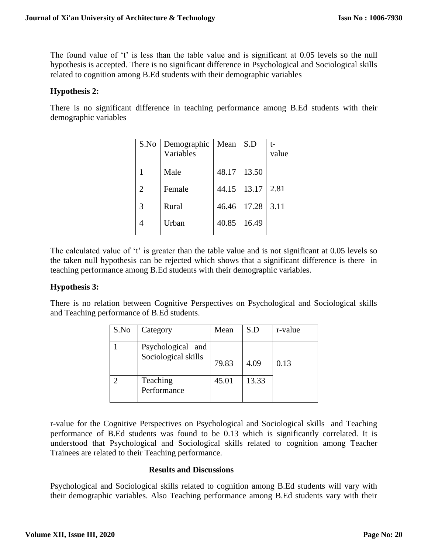The found value of 't' is less than the table value and is significant at 0.05 levels so the null hypothesis is accepted. There is no significant difference in Psychological and Sociological skills related to cognition among B.Ed students with their demographic variables

# **Hypothesis 2:**

There is no significant difference in teaching performance among B.Ed students with their demographic variables

| S.No | Demographic | Mean  | S.D   | t-    |
|------|-------------|-------|-------|-------|
|      | Variables   |       |       | value |
|      |             |       |       |       |
|      | Male        | 48.17 | 13.50 |       |
|      |             |       |       |       |
| 2    | Female      | 44.15 | 13.17 | 2.81  |
|      |             |       |       |       |
| 3    | Rural       | 46.46 | 17.28 | 3.11  |
|      |             |       |       |       |
|      | Urban       | 40.85 | 16.49 |       |
|      |             |       |       |       |

The calculated value of 't' is greater than the table value and is not significant at 0.05 levels so the taken null hypothesis can be rejected which shows that a significant difference is there in teaching performance among B.Ed students with their demographic variables.

# **Hypothesis 3:**

There is no relation between Cognitive Perspectives on Psychological and Sociological skills and Teaching performance of B.Ed students.

| S.No | Category                                 | Mean  | S.D   | r-value |
|------|------------------------------------------|-------|-------|---------|
|      | Psychological and<br>Sociological skills | 79.83 | 4.09  | 0.13    |
|      | Teaching<br>Performance                  | 45.01 | 13.33 |         |

r-value for the Cognitive Perspectives on Psychological and Sociological skills and Teaching performance of B.Ed students was found to be 0.13 which is significantly correlated. It is understood that Psychological and Sociological skills related to cognition among Teacher Trainees are related to their Teaching performance.

# **Results and Discussions**

Psychological and Sociological skills related to cognition among B.Ed students will vary with their demographic variables. Also Teaching performance among B.Ed students vary with their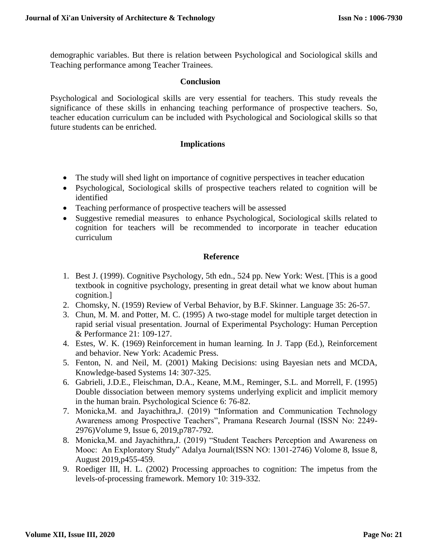demographic variables. But there is relation between Psychological and Sociological skills and Teaching performance among Teacher Trainees.

## **Conclusion**

Psychological and Sociological skills are very essential for teachers. This study reveals the significance of these skills in enhancing teaching performance of prospective teachers. So, teacher education curriculum can be included with Psychological and Sociological skills so that future students can be enriched.

# **Implications**

- The study will shed light on importance of cognitive perspectives in teacher education
- Psychological, Sociological skills of prospective teachers related to cognition will be identified
- Teaching performance of prospective teachers will be assessed
- Suggestive remedial measures to enhance Psychological, Sociological skills related to cognition for teachers will be recommended to incorporate in teacher education curriculum

# **Reference**

- 1. Best J. (1999). Cognitive Psychology, 5th edn., 524 pp. New York: West. [This is a good textbook in cognitive psychology, presenting in great detail what we know about human cognition.]
- 2. Chomsky, N. (1959) Review of Verbal Behavior, by B.F. Skinner. Language 35: 26-57.
- 3. Chun, M. M. and Potter, M. C. (1995) A two-stage model for multiple target detection in rapid serial visual presentation. Journal of Experimental Psychology: Human Perception & Performance 21: 109-127.
- 4. Estes, W. K. (1969) [Reinforcement](http://www.scholarpedia.org/article/Reinforcement) in human learning. In J. Tapp (Ed.), Reinforcement and behavior. New York: Academic Press.
- 5. Fenton, N. and Neil, M. (2001) Making Decisions: using Bayesian nets and MCDA, Knowledge-based Systems 14: 307-325.
- 6. Gabrieli, J.D.E., Fleischman, D.A., Keane, M.M., Reminger, S.L. and Morrell, F. (1995) Double dissociation between memory systems underlying explicit and implicit memory in the human brain. Psychological Science 6: 76-82.
- 7. Monicka,M. and Jayachithra,J. (2019) "Information and Communication Technology Awareness among Prospective Teachers", Pramana Research Journal (ISSN No: 2249- 2976)Volume 9, Issue 6, 2019,p787-792.
- 8. Monicka,M. and Jayachithra,J. (2019) "Student Teachers Perception and Awareness on Mooc: An Exploratory Study" Adalya Journal(ISSN NO: 1301-2746) Volome 8, Issue 8, August 2019,p455-459.
- 9. Roediger III, H. L. (2002) Processing approaches to cognition: The impetus from the levels-of-processing framework. Memory 10: 319-332.